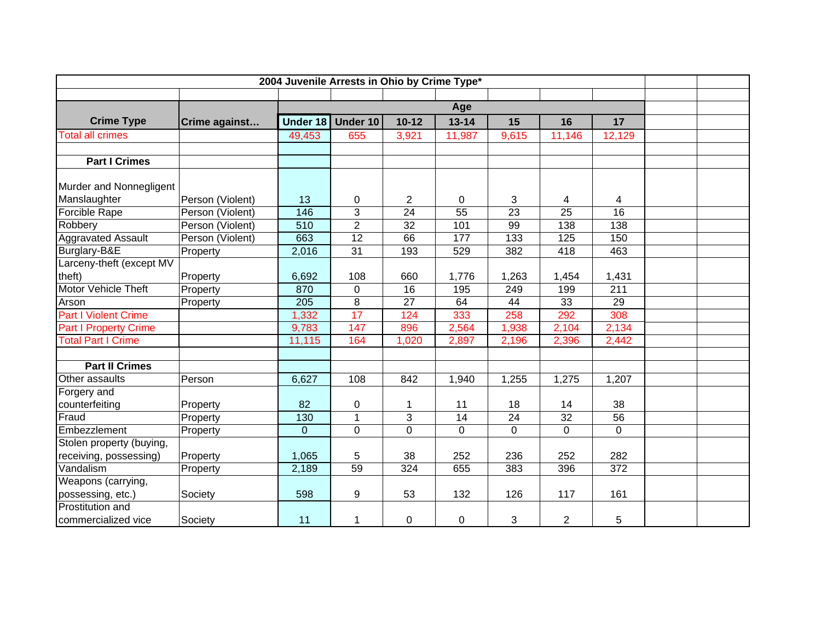| 2004 Juvenile Arrests in Ohio by Crime Type* |                  |                |                 |                |                 |                 |                 |                 |  |
|----------------------------------------------|------------------|----------------|-----------------|----------------|-----------------|-----------------|-----------------|-----------------|--|
|                                              |                  |                |                 |                |                 |                 |                 |                 |  |
|                                              |                  | Age            |                 |                |                 |                 |                 |                 |  |
| <b>Crime Type</b>                            | Crime against    | Under 18       | Under 10        | $10 - 12$      | $13 - 14$       | 15              | 16              | 17              |  |
| <b>Total all crimes</b>                      |                  | 49,453         | 655             | 3,921          | 11,987          | 9,615           | 11,146          | 12,129          |  |
|                                              |                  |                |                 |                |                 |                 |                 |                 |  |
| <b>Part I Crimes</b>                         |                  |                |                 |                |                 |                 |                 |                 |  |
|                                              |                  |                |                 |                |                 |                 |                 |                 |  |
| Murder and Nonnegligent                      |                  |                |                 |                |                 |                 |                 |                 |  |
| Manslaughter                                 | Person (Violent) | 13             | 0               | $\overline{2}$ | $\mathbf 0$     | 3               | 4               | 4               |  |
| Forcible Rape                                | Person (Violent) | 146            | 3               | 24             | 55              | $\overline{23}$ | $\overline{25}$ | 16              |  |
| Robbery                                      | Person (Violent) | 510            | $\overline{2}$  | 32             | 101             | 99              | 138             | 138             |  |
| <b>Aggravated Assault</b>                    | Person (Violent) | 663            | $\overline{12}$ | 66             | 177             | 133             | 125             | 150             |  |
| Burglary-B&E                                 | Property         | 2,016          | 31              | 193            | 529             | 382             | 418             | 463             |  |
| Larceny-theft (except MV                     |                  |                |                 |                |                 |                 |                 |                 |  |
| theft)                                       | Property         | 6,692          | 108             | 660            | 1,776           | 1,263           | 1,454           | 1,431           |  |
| <b>Motor Vehicle Theft</b>                   | Property         | 870            | 0               | 16             | 195             | 249             | 199             | 211             |  |
| Arson                                        | Property         | 205            | 8               | 27             | 64              | 44              | 33              | 29              |  |
| <b>Part I Violent Crime</b>                  |                  | 1,332          | 17              | 124            | 333             | 258             | 292             | 308             |  |
| <b>Part I Property Crime</b>                 |                  | 9,783          | 147             | 896            | 2,564           | 1,938           | 2,104           | 2,134           |  |
| <b>Total Part I Crime</b>                    |                  | 11,115         | 164             | 1,020          | 2,897           | 2,196           | 2,396           | 2,442           |  |
|                                              |                  |                |                 |                |                 |                 |                 |                 |  |
| <b>Part II Crimes</b>                        |                  |                |                 |                |                 |                 |                 |                 |  |
| Other assaults                               | Person           | 6,627          | 108             | 842            | 1,940           | 1,255           | 1,275           | 1,207           |  |
| Forgery and                                  |                  |                |                 |                |                 |                 |                 |                 |  |
| counterfeiting                               | Property         | 82             | 0               | 1              | 11              | 18              | 14              | 38              |  |
| Fraud                                        | Property         | 130            | $\mathbf{1}$    | 3              | $\overline{14}$ | $\overline{24}$ | 32              | $\overline{56}$ |  |
| Embezzlement                                 | Property         | $\overline{0}$ | $\mathbf 0$     | $\mathbf 0$    | $\Omega$        | $\Omega$        | $\overline{0}$  | $\mathbf 0$     |  |
| Stolen property (buying,                     |                  |                |                 |                |                 |                 |                 |                 |  |
| receiving, possessing)                       | Property         | 1,065          | 5               | 38             | 252             | 236             | 252             | 282             |  |
| Vandalism                                    | Property         | 2,189          | 59              | 324            | 655             | 383             | 396             | 372             |  |
| Weapons (carrying,                           |                  |                |                 |                |                 |                 |                 |                 |  |
| possessing, etc.)                            | Society          | 598            | 9               | 53             | 132             | 126             | 117             | 161             |  |
| Prostitution and                             |                  |                |                 |                |                 |                 |                 |                 |  |
| commercialized vice                          | Society          | 11             | 1               | 0              | $\mathbf 0$     | 3               | $\overline{2}$  | 5               |  |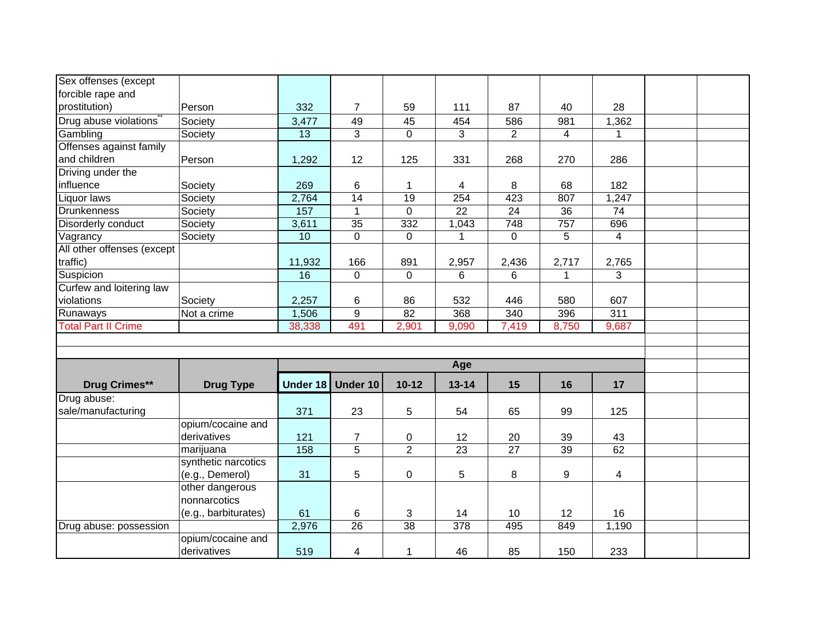| Sex offenses (except       |                      |          |                  |                 |                         |                  |       |                         |  |  |  |
|----------------------------|----------------------|----------|------------------|-----------------|-------------------------|------------------|-------|-------------------------|--|--|--|
| forcible rape and          |                      |          |                  |                 |                         |                  |       |                         |  |  |  |
| prostitution)              | Person               | 332      | $\overline{7}$   | 59              | 111                     | 87               | 40    | 28                      |  |  |  |
| Drug abuse violations      | Society              | 3,477    | 49               | 45              | 454                     | 586              | 981   | 1,362                   |  |  |  |
| Gambling                   | Society              | 13       | 3                | $\overline{0}$  | 3                       | $\overline{2}$   | 4     |                         |  |  |  |
| Offenses against family    |                      |          |                  |                 |                         |                  |       |                         |  |  |  |
| and children               | Person               | 1,292    | 12               | 125             | 331                     | 268              | 270   | 286                     |  |  |  |
| Driving under the          |                      |          |                  |                 |                         |                  |       |                         |  |  |  |
| influence                  | Society              | 269      | 6                | 1               | $\overline{\mathbf{4}}$ | 8                | 68    | 182                     |  |  |  |
| Liquor laws                | Society              | 2,764    | $\overline{14}$  | 19              | 254                     | 423              | 807   | 1,247                   |  |  |  |
| Drunkenness                | Society              | 157      | $\mathbf{1}$     | $\mathbf 0$     | $\overline{22}$         | $\overline{24}$  | 36    | 74                      |  |  |  |
| Disorderly conduct         | Society              | 3,611    | 35               | 332             | 1,043                   | $\overline{748}$ | 757   | 696                     |  |  |  |
| Vagrancy                   | Society              | 10       | $\mathbf 0$      | 0               | 1                       | $\mathbf 0$      | 5     | $\overline{4}$          |  |  |  |
| All other offenses (except |                      |          |                  |                 |                         |                  |       |                         |  |  |  |
| traffic)                   |                      | 11,932   | 166              | 891             | 2,957                   | 2,436            | 2,717 | 2,765                   |  |  |  |
| Suspicion                  |                      | 16       | 0                | $\mathbf 0$     | 6                       | 6                | 1     | 3                       |  |  |  |
| Curfew and loitering law   |                      |          |                  |                 |                         |                  |       |                         |  |  |  |
| violations                 | Society              | 2,257    | 6                | 86              | 532                     | 446              | 580   | 607                     |  |  |  |
| Runaways                   | Not a crime          | 1,506    | $\boldsymbol{9}$ | 82              | 368                     | 340              | 396   | 311                     |  |  |  |
| <b>Total Part II Crime</b> |                      | 38,338   | 491              | 2,901           | 9,090                   | 7,419            | 8,750 | 9,687                   |  |  |  |
|                            |                      |          |                  |                 |                         |                  |       |                         |  |  |  |
|                            |                      |          |                  |                 |                         |                  |       |                         |  |  |  |
|                            |                      |          | Age              |                 |                         |                  |       |                         |  |  |  |
| <b>Drug Crimes**</b>       | <b>Drug Type</b>     | Under 18 | Under 10         | $10-12$         | $13 - 14$               | 15               | 16    | 17                      |  |  |  |
| Drug abuse:                |                      |          |                  |                 |                         |                  |       |                         |  |  |  |
| sale/manufacturing         |                      | 371      | 23               | 5               | 54                      | 65               | 99    | 125                     |  |  |  |
|                            | opium/cocaine and    |          |                  |                 |                         |                  |       |                         |  |  |  |
|                            | derivatives          | 121      | $\overline{7}$   | 0               | 12                      | 20               | 39    | 43                      |  |  |  |
|                            | marijuana            | 158      | $\overline{5}$   | $\overline{2}$  | 23                      | $\overline{27}$  | 39    | 62                      |  |  |  |
|                            | synthetic narcotics  |          |                  |                 |                         |                  |       |                         |  |  |  |
|                            | (e.g., Demerol)      | 31       | 5                | 0               | $5\phantom{.0}$         | 8                | 9     | $\overline{\mathbf{4}}$ |  |  |  |
|                            | other dangerous      |          |                  |                 |                         |                  |       |                         |  |  |  |
|                            | nonnarcotics         |          |                  |                 |                         |                  |       |                         |  |  |  |
|                            | (e.g., barbiturates) | 61       | 6                | 3               | 14                      | 10               | 12    | 16                      |  |  |  |
| Drug abuse: possession     |                      | 2,976    | $\overline{26}$  | $\overline{38}$ | $\overline{378}$        | 495              | 849   | 1,190                   |  |  |  |
|                            | opium/cocaine and    |          |                  |                 |                         |                  |       |                         |  |  |  |
|                            | derivatives          | 519      | 4                | 1               | 46                      | 85               | 150   | 233                     |  |  |  |